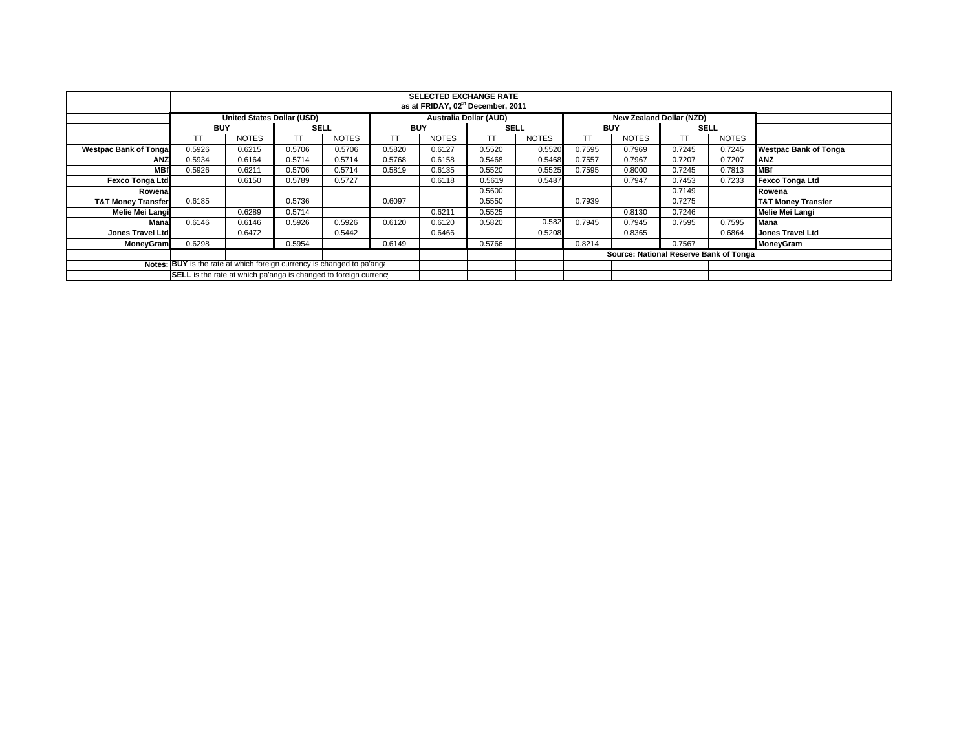|                                                                        |                                                                  | <b>SELECTED EXCHANGE RATE</b> |             |              |            |              |             |              |            |                                        |             |              |                               |
|------------------------------------------------------------------------|------------------------------------------------------------------|-------------------------------|-------------|--------------|------------|--------------|-------------|--------------|------------|----------------------------------------|-------------|--------------|-------------------------------|
|                                                                        | as at FRIDAY, 02 <sup>th</sup> December, 2011                    |                               |             |              |            |              |             |              |            |                                        |             |              |                               |
|                                                                        | United States Dollar (USD)                                       |                               |             |              |            |              |             |              |            |                                        |             |              |                               |
|                                                                        | <b>BUY</b>                                                       |                               | <b>SELL</b> |              | <b>BUY</b> |              | <b>SELL</b> |              | <b>BUY</b> |                                        | <b>SELL</b> |              |                               |
|                                                                        |                                                                  | <b>NOTES</b>                  | TТ          | <b>NOTES</b> |            | <b>NOTES</b> | TT          | <b>NOTES</b> | <b>TT</b>  | <b>NOTES</b>                           |             | <b>NOTES</b> |                               |
| <b>Westpac Bank of Tonga</b>                                           | 0.5926                                                           | 0.6215                        | 0.5706      | 0.5706       | 0.5820     | 0.6127       | 0.5520      | 0.5520       | 0.7595     | 0.7969                                 | 0.7245      | 0.7245       | <b>Westpac Bank of Tonga</b>  |
| <b>ANZ</b>                                                             | 0.5934                                                           | 0.6164                        | 0.5714      | 0.5714       | 0.5768     | 0.6158       | 0.5468      | 0.5468       | 0.7557     | 0.7967                                 | 0.7207      | 0.7207       | <b>ANZ</b>                    |
| <b>MBf</b>                                                             | 0.5926                                                           | 0.6211                        | 0.5706      | 0.5714       | 0.5819     | 0.6135       | 0.5520      | 0.5525       | 0.7595     | 0.8000                                 | 0.7245      | 0.7813       | <b>MBf</b>                    |
| Fexco Tonga Ltd                                                        |                                                                  | 0.6150                        | 0.5789      | 0.5727       |            | 0.6118       | 0.5619      | 0.5487       |            | 0.7947                                 | 0.7453      | 0.7233       | <b>Fexco Tonga Ltd</b>        |
| Rowena                                                                 |                                                                  |                               |             |              |            |              | 0.5600      |              |            |                                        | 0.7149      |              | Rowena                        |
| <b>T&amp;T Money Transfer</b>                                          | 0.6185                                                           |                               | 0.5736      |              | 0.6097     |              | 0.5550      |              | 0.7939     |                                        | 0.7275      |              | <b>T&amp;T Money Transfer</b> |
| Melie Mei Langi                                                        |                                                                  | 0.6289                        | 0.5714      |              |            | 0.6211       | 0.5525      |              |            | 0.8130                                 | 0.7246      |              | Melie Mei Langi               |
| Mana                                                                   | 0.6146                                                           | 0.6146                        | 0.5926      | 0.5926       | 0.6120     | 0.6120       | 0.5820      | 0.582        | 0.7945     | 0.7945                                 | 0.7595      | 0.7595       | <b>Mana</b>                   |
| <b>Jones Travel Ltd</b>                                                |                                                                  | 0.6472                        |             | 0.5442       |            | 0.6466       |             | 0.5208       |            | 0.8365                                 |             | 0.6864       | <b>Jones Travel Ltd</b>       |
| MoneyGram                                                              | 0.6298                                                           |                               | 0.5954      |              | 0.6149     |              | 0.5766      |              | 0.8214     |                                        | 0.7567      |              | MoneyGram                     |
|                                                                        |                                                                  |                               |             |              |            |              |             |              |            | Source: National Reserve Bank of Tonga |             |              |                               |
| Notes: BUY is the rate at which foreign currency is changed to pa'ang: |                                                                  |                               |             |              |            |              |             |              |            |                                        |             |              |                               |
|                                                                        | SELL is the rate at which pa'anga is changed to foreign currency |                               |             |              |            |              |             |              |            |                                        |             |              |                               |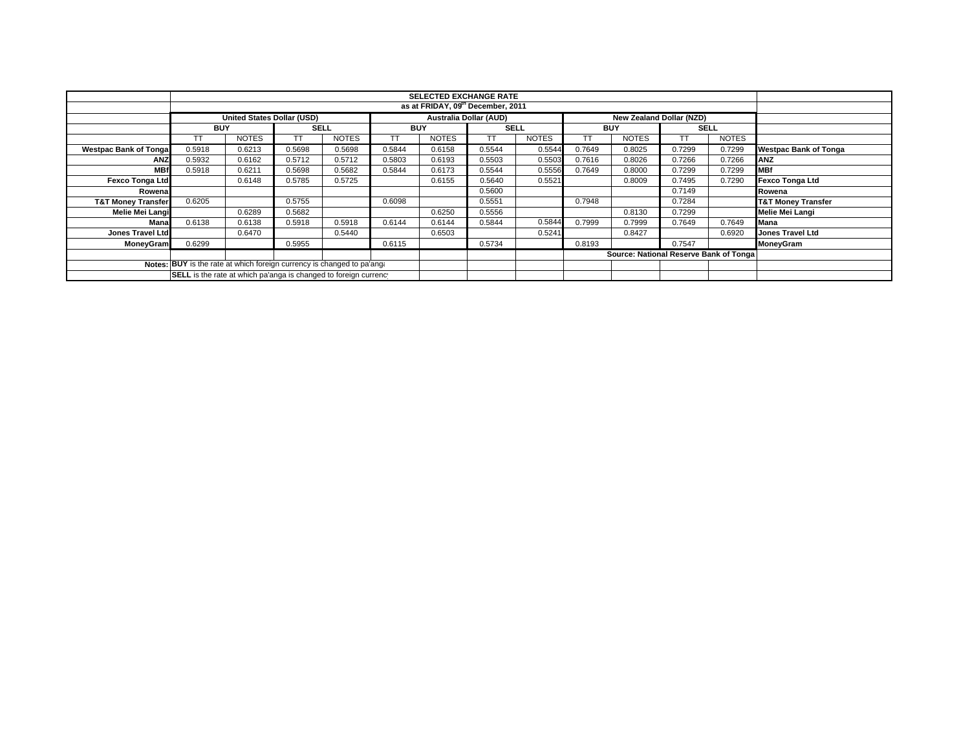|                                                                        |                                                                  | <b>SELECTED EXCHANGE RATE</b> |             |              |            |              |             |              |            |                                        |             |              |                               |
|------------------------------------------------------------------------|------------------------------------------------------------------|-------------------------------|-------------|--------------|------------|--------------|-------------|--------------|------------|----------------------------------------|-------------|--------------|-------------------------------|
|                                                                        | as at FRIDAY, 09th December, 2011                                |                               |             |              |            |              |             |              |            |                                        |             |              |                               |
|                                                                        | United States Dollar (USD)                                       |                               |             |              |            |              |             |              |            |                                        |             |              |                               |
|                                                                        | <b>BUY</b>                                                       |                               | <b>SELL</b> |              | <b>BUY</b> |              | <b>SELL</b> |              | <b>BUY</b> |                                        | <b>SELL</b> |              |                               |
|                                                                        |                                                                  | <b>NOTES</b>                  | TТ          | <b>NOTES</b> |            | <b>NOTES</b> | TT          | <b>NOTES</b> | TT.        | <b>NOTES</b>                           |             | <b>NOTES</b> |                               |
| <b>Westpac Bank of Tonga</b>                                           | 0.5918                                                           | 0.6213                        | 0.5698      | 0.5698       | 0.5844     | 0.6158       | 0.5544      | 0.5544       | 0.7649     | 0.8025                                 | 0.7299      | 0.7299       | <b>Westpac Bank of Tonga</b>  |
| <b>ANZ</b>                                                             | 0.5932                                                           | 0.6162                        | 0.5712      | 0.5712       | 0.5803     | 0.6193       | 0.5503      | 0.5503       | 0.7616     | 0.8026                                 | 0.7266      | 0.7266       | <b>ANZ</b>                    |
| <b>MBf</b>                                                             | 0.5918                                                           | 0.6211                        | 0.5698      | 0.5682       | 0.5844     | 0.6173       | 0.5544      | 0.5556       | 0.7649     | 0.8000                                 | 0.7299      | 0.7299       | <b>MBf</b>                    |
| Fexco Tonga Ltd                                                        |                                                                  | 0.6148                        | 0.5785      | 0.5725       |            | 0.6155       | 0.5640      | 0.5521       |            | 0.8009                                 | 0.7495      | 0.7290       | <b>Fexco Tonga Ltd</b>        |
| Rowena                                                                 |                                                                  |                               |             |              |            |              | 0.5600      |              |            |                                        | 0.7149      |              | Rowena                        |
| <b>T&amp;T Money Transfer</b>                                          | 0.6205                                                           |                               | 0.5755      |              | 0.6098     |              | 0.5551      |              | 0.7948     |                                        | 0.7284      |              | <b>T&amp;T Money Transfer</b> |
| Melie Mei Langi                                                        |                                                                  | 0.6289                        | 0.5682      |              |            | 0.6250       | 0.5556      |              |            | 0.8130                                 | 0.7299      |              | Melie Mei Langi               |
| Mana                                                                   | 0.6138                                                           | 0.6138                        | 0.5918      | 0.5918       | 0.6144     | 0.6144       | 0.5844      | 0.5844       | 0.7999     | 0.7999                                 | 0.7649      | 0.7649       | <b>Mana</b>                   |
| <b>Jones Travel Ltd</b>                                                |                                                                  | 0.6470                        |             | 0.5440       |            | 0.6503       |             | 0.5241       |            | 0.8427                                 |             | 0.6920       | <b>Jones Travel Ltd</b>       |
| MoneyGram                                                              | 0.6299                                                           |                               | 0.5955      |              | 0.6115     |              | 0.5734      |              | 0.8193     |                                        | 0.7547      |              | MoneyGram                     |
|                                                                        |                                                                  |                               |             |              |            |              |             |              |            | Source: National Reserve Bank of Tonga |             |              |                               |
| Notes: BUY is the rate at which foreign currency is changed to pa'ang: |                                                                  |                               |             |              |            |              |             |              |            |                                        |             |              |                               |
|                                                                        | SELL is the rate at which pa'anga is changed to foreign currency |                               |             |              |            |              |             |              |            |                                        |             |              |                               |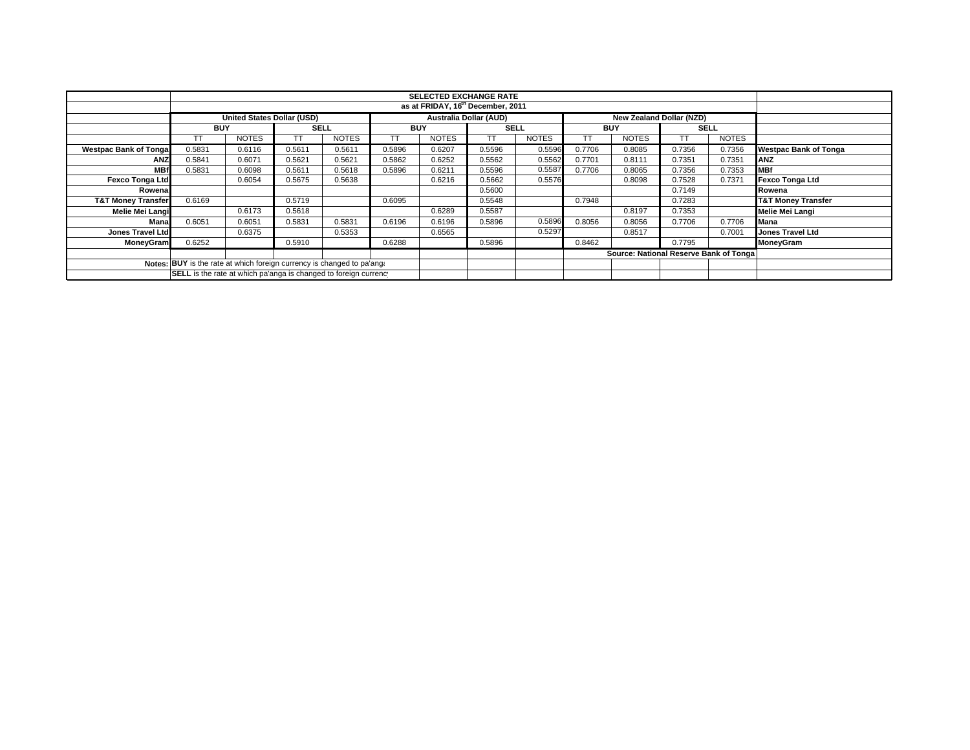|                                                                        |                                                                                                       | <b>SELECTED EXCHANGE RATE</b> |             |              |            |              |             |              |            |                                        |             |              |                               |
|------------------------------------------------------------------------|-------------------------------------------------------------------------------------------------------|-------------------------------|-------------|--------------|------------|--------------|-------------|--------------|------------|----------------------------------------|-------------|--------------|-------------------------------|
|                                                                        | as at FRIDAY, 16 <sup>th</sup> December, 2011                                                         |                               |             |              |            |              |             |              |            |                                        |             |              |                               |
|                                                                        | <b>United States Dollar (USD)</b><br><b>Australia Dollar (AUD)</b><br><b>New Zealand Dollar (NZD)</b> |                               |             |              |            |              |             |              |            |                                        |             |              |                               |
|                                                                        | <b>BUY</b>                                                                                            |                               | <b>SELL</b> |              | <b>BUY</b> |              | <b>SELL</b> |              | <b>BUY</b> |                                        | <b>SELL</b> |              |                               |
|                                                                        |                                                                                                       | <b>NOTES</b>                  |             | <b>NOTES</b> |            | <b>NOTES</b> | ТT          | <b>NOTES</b> |            | <b>NOTES</b>                           |             | <b>NOTES</b> |                               |
| <b>Westpac Bank of Tonga</b>                                           | 0.5831                                                                                                | 0.6116                        | 0.5611      | 0.5611       | 0.5896     | 0.6207       | 0.5596      | 0.5596       | 0.7706     | 0.8085                                 | 0.7356      | 0.7356       | <b>Westpac Bank of Tonga</b>  |
| <b>ANZ</b>                                                             | 0.5841                                                                                                | 0.6071                        | 0.5621      | 0.5621       | 0.5862     | 0.6252       | 0.5562      | 0.5562       | 0.7701     | 0.8111                                 | 0.7351      | 0.7351       | <b>ANZ</b>                    |
| <b>MBf</b>                                                             | 0.5831                                                                                                | 0.6098                        | 0.5611      | 0.5618       | 0.5896     | 0.6211       | 0.5596      | 0.5587       | 0.7706     | 0.8065                                 | 0.7356      | 0.7353       | <b>MBf</b>                    |
| Fexco Tonga Ltd                                                        |                                                                                                       | 0.6054                        | 0.5675      | 0.5638       |            | 0.6216       | 0.5662      | 0.5576       |            | 0.8098                                 | 0.7528      | 0.7371       | <b>Fexco Tonga Ltd</b>        |
| Rowena                                                                 |                                                                                                       |                               |             |              |            |              | 0.5600      |              |            |                                        | 0.7149      |              | Rowena                        |
| <b>T&amp;T Money Transfer</b>                                          | 0.6169                                                                                                |                               | 0.5719      |              | 0.6095     |              | 0.5548      |              | 0.7948     |                                        | 0.7283      |              | <b>T&amp;T Money Transfer</b> |
| Melie Mei Langi                                                        |                                                                                                       | 0.6173                        | 0.5618      |              |            | 0.6289       | 0.5587      |              |            | 0.8197                                 | 0.7353      |              | Melie Mei Langi               |
| Mana                                                                   | 0.6051                                                                                                | 0.6051                        | 0.5831      | 0.5831       | 0.6196     | 0.6196       | 0.5896      | 0.5896       | 0.8056     | 0.8056                                 | 0.7706      | 0.7706       | <b>Mana</b>                   |
| Jones Travel Ltd                                                       |                                                                                                       | 0.6375                        |             | 0.5353       |            | 0.6565       |             | 0.5297       |            | 0.8517                                 |             | 0.7001       | <b>Jones Travel Ltd</b>       |
| <b>MoneyGram</b>                                                       | 0.6252                                                                                                |                               | 0.5910      |              | 0.6288     |              | 0.5896      |              | 0.8462     |                                        | 0.7795      |              | MoneyGram                     |
|                                                                        |                                                                                                       |                               |             |              |            |              |             |              |            | Source: National Reserve Bank of Tonga |             |              |                               |
| Notes: BUY is the rate at which foreign currency is changed to pa'ang: |                                                                                                       |                               |             |              |            |              |             |              |            |                                        |             |              |                               |
|                                                                        | SELL is the rate at which pa'anga is changed to foreign currency                                      |                               |             |              |            |              |             |              |            |                                        |             |              |                               |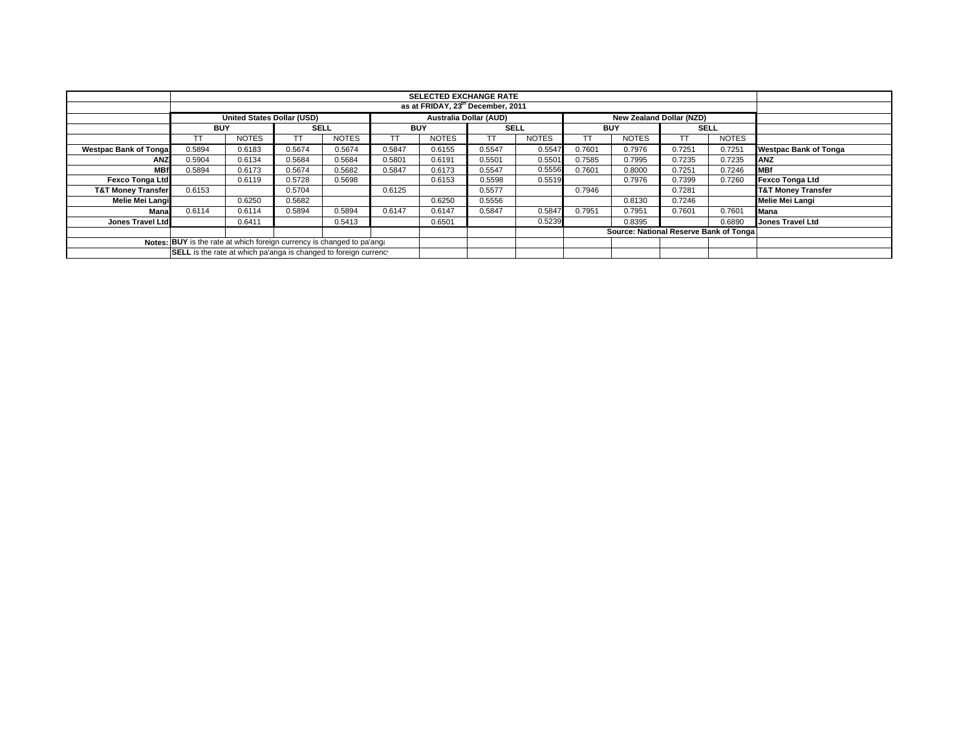|                                                                        |                                                                  | <b>SELECTED EXCHANGE RATE</b>                 |             |              |            |                               |             |              |            |                                        |        |              |                               |
|------------------------------------------------------------------------|------------------------------------------------------------------|-----------------------------------------------|-------------|--------------|------------|-------------------------------|-------------|--------------|------------|----------------------------------------|--------|--------------|-------------------------------|
|                                                                        |                                                                  | as at FRIDAY, 23 <sup>th</sup> December, 2011 |             |              |            |                               |             |              |            |                                        |        |              |                               |
|                                                                        |                                                                  | <b>United States Dollar (USD)</b>             |             |              |            | <b>Australia Dollar (AUD)</b> |             |              |            | New Zealand Dollar (NZD)               |        |              |                               |
|                                                                        | <b>BUY</b>                                                       |                                               | <b>SELL</b> |              | <b>BUY</b> |                               | <b>SELL</b> |              | <b>BUY</b> |                                        |        | <b>SELL</b>  |                               |
|                                                                        |                                                                  | <b>NOTES</b>                                  |             | <b>NOTES</b> |            | <b>NOTES</b>                  |             | <b>NOTES</b> |            | <b>NOTES</b>                           | TT.    | <b>NOTES</b> |                               |
| <b>Westpac Bank of Tongal</b>                                          | 0.5894                                                           | 0.6183                                        | 0.5674      | 0.5674       | 0.5847     | 0.6155                        | 0.5547      | 0.5547       | 0.7601     | 0.7976                                 | 0.7251 | 0.7251       | <b>Westpac Bank of Tonga</b>  |
| <b>ANZ</b>                                                             | 0.5904                                                           | 0.6134                                        | 0.5684      | 0.5684       | 0.5801     | 0.6191                        | 0.5501      | 0.5501       | 0.7585     | 0.7995                                 | 0.7235 | 0.7235       | ANZ                           |
| <b>MBf</b>                                                             | 0.5894                                                           | 0.6173                                        | 0.5674      | 0.5682       | 0.5847     | 0.6173                        | 0.5547      | 0.5556       | 0.7601     | 0.8000                                 | 0.7251 | 0.7246       | <b>MBf</b>                    |
| <b>Fexco Tonga Ltd</b>                                                 |                                                                  | 0.6119                                        | 0.5728      | 0.5698       |            | 0.6153                        | 0.5598      | 0.5519       |            | 0.7976                                 | 0.7399 | 0.7260       | <b>Fexco Tonga Ltd</b>        |
| <b>T&amp;T Money Transfer</b>                                          | 0.6153                                                           |                                               | 0.5704      |              | 0.6125     |                               | 0.5577      |              | 0.7946     |                                        | 0.7281 |              | <b>T&amp;T Money Transfer</b> |
| Melie Mei Langi                                                        |                                                                  | 0.6250                                        | 0.5682      |              |            | 0.6250                        | 0.5556      |              |            | 0.8130                                 | 0.7246 |              | Melie Mei Langi               |
| Mana                                                                   | 0.6114                                                           | 0.6114                                        | 0.5894      | 0.5894       | 0.6147     | 0.6147                        | 0.5847      | 0.5847       | 0.7951     | 0.7951                                 | 0.7601 | 0.7601       | Mana                          |
| Jones Travel Ltd                                                       |                                                                  | 0.6411                                        |             | 0.5413       |            | 0.6501                        |             | 0.5239       |            | 0.8395                                 |        | 0.6890       | <b>Jones Travel Ltd</b>       |
|                                                                        |                                                                  |                                               |             |              |            |                               |             |              |            | Source: National Reserve Bank of Tonga |        |              |                               |
| Notes: BUY is the rate at which foreign currency is changed to pa'ang: |                                                                  |                                               |             |              |            |                               |             |              |            |                                        |        |              |                               |
|                                                                        | SELL is the rate at which pa'anga is changed to foreign currency |                                               |             |              |            |                               |             |              |            |                                        |        |              |                               |